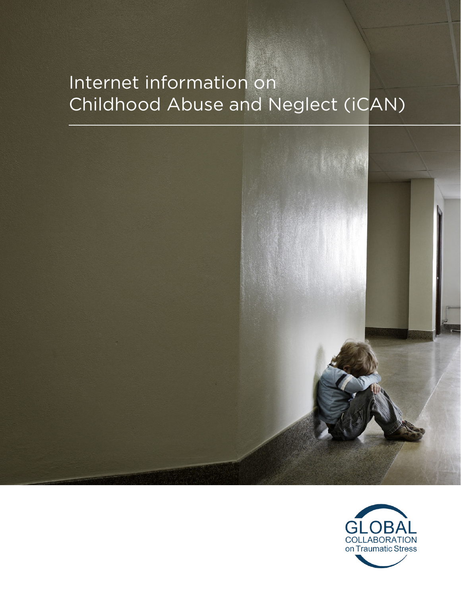# Internet information on Childhood Abuse and Neglect (iCAN)



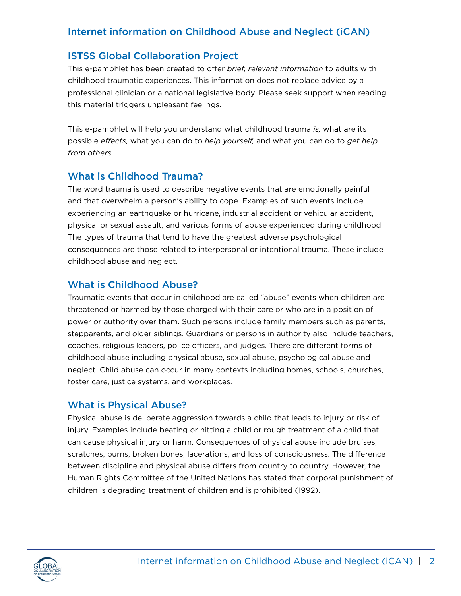# Internet information on Childhood Abuse and Neglect (iCAN)

# ISTSS Global Collaboration Project

This e-pamphlet has been created to offer *brief, relevant information* to adults with childhood traumatic experiences. This information does not replace advice by a professional clinician or a national legislative body. Please seek support when reading this material triggers unpleasant feelings.

This e-pamphlet will help you understand what childhood trauma *is,* what are its possible *effects,* what you can do to *help yourself,* and what you can do to *get help from others.*

# What is Childhood Trauma?

The word trauma is used to describe negative events that are emotionally painful and that overwhelm a person's ability to cope. Examples of such events include experiencing an earthquake or hurricane, industrial accident or vehicular accident, physical or sexual assault, and various forms of abuse experienced during childhood. The types of trauma that tend to have the greatest adverse psychological consequences are those related to interpersonal or intentional trauma. These include childhood abuse and neglect.

# What is Childhood Abuse?

Traumatic events that occur in childhood are called "abuse" events when children are threatened or harmed by those charged with their care or who are in a position of power or authority over them. Such persons include family members such as parents, stepparents, and older siblings. Guardians or persons in authority also include teachers, coaches, religious leaders, police officers, and judges. There are different forms of childhood abuse including physical abuse, sexual abuse, psychological abuse and neglect. Child abuse can occur in many contexts including homes, schools, churches, foster care, justice systems, and workplaces.

# What is Physical Abuse?

Physical abuse is deliberate aggression towards a child that leads to injury or risk of injury. Examples include beating or hitting a child or rough treatment of a child that can cause physical injury or harm. Consequences of physical abuse include bruises, scratches, burns, broken bones, lacerations, and loss of consciousness. The difference between discipline and physical abuse differs from country to country. However, the Human Rights Committee of the United Nations has stated that corporal punishment of children is degrading treatment of children and is prohibited (1992).

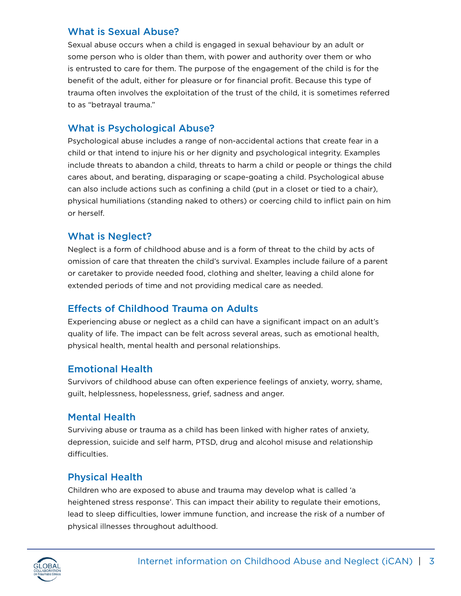# What is Sexual Abuse?

Sexual abuse occurs when a child is engaged in sexual behaviour by an adult or some person who is older than them, with power and authority over them or who is entrusted to care for them. The purpose of the engagement of the child is for the benefit of the adult, either for pleasure or for financial profit. Because this type of trauma often involves the exploitation of the trust of the child, it is sometimes referred to as "betrayal trauma."

# What is Psychological Abuse?

Psychological abuse includes a range of non-accidental actions that create fear in a child or that intend to injure his or her dignity and psychological integrity. Examples include threats to abandon a child, threats to harm a child or people or things the child cares about, and berating, disparaging or scape-goating a child. Psychological abuse can also include actions such as confining a child (put in a closet or tied to a chair), physical humiliations (standing naked to others) or coercing child to inflict pain on him or herself.

#### What is Neglect?

Neglect is a form of childhood abuse and is a form of threat to the child by acts of omission of care that threaten the child's survival. Examples include failure of a parent or caretaker to provide needed food, clothing and shelter, leaving a child alone for extended periods of time and not providing medical care as needed.

# Effects of Childhood Trauma on Adults

Experiencing abuse or neglect as a child can have a significant impact on an adult's quality of life. The impact can be felt across several areas, such as emotional health, physical health, mental health and personal relationships.

# Emotional Health

Survivors of childhood abuse can often experience feelings of anxiety, worry, shame, guilt, helplessness, hopelessness, grief, sadness and anger.

# Mental Health

Surviving abuse or trauma as a child has been linked with higher rates of anxiety, depression, suicide and self harm, PTSD, drug and alcohol misuse and relationship difficulties.

# Physical Health

Children who are exposed to abuse and trauma may develop what is called 'a heightened stress response'. This can impact their ability to regulate their emotions, lead to sleep difficulties, lower immune function, and increase the risk of a number of physical illnesses throughout adulthood.

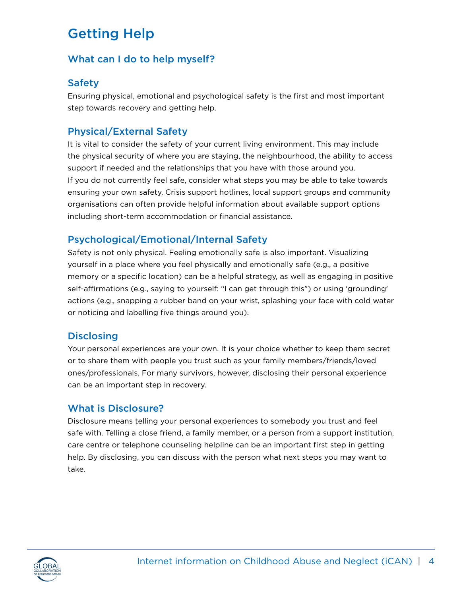# Getting Help

# What can I do to help myself?

# **Safety**

Ensuring physical, emotional and psychological safety is the first and most important step towards recovery and getting help.

# Physical/External Safety

It is vital to consider the safety of your current living environment. This may include the physical security of where you are staying, the neighbourhood, the ability to access support if needed and the relationships that you have with those around you. If you do not currently feel safe, consider what steps you may be able to take towards ensuring your own safety. Crisis support hotlines, local support groups and community organisations can often provide helpful information about available support options including short-term accommodation or financial assistance.

# Psychological/Emotional/Internal Safety

Safety is not only physical. Feeling emotionally safe is also important. Visualizing yourself in a place where you feel physically and emotionally safe (e.g., a positive memory or a specific location) can be a helpful strategy, as well as engaging in positive self-affirmations (e.g., saying to yourself: "I can get through this") or using 'grounding' actions (e.g., snapping a rubber band on your wrist, splashing your face with cold water or noticing and labelling five things around you).

# **Disclosing**

Your personal experiences are your own. It is your choice whether to keep them secret or to share them with people you trust such as your family members/friends/loved ones/professionals. For many survivors, however, disclosing their personal experience can be an important step in recovery.

# What is Disclosure?

Disclosure means telling your personal experiences to somebody you trust and feel safe with. Telling a close friend, a family member, or a person from a support institution, care centre or telephone counseling helpline can be an important first step in getting help. By disclosing, you can discuss with the person what next steps you may want to take.

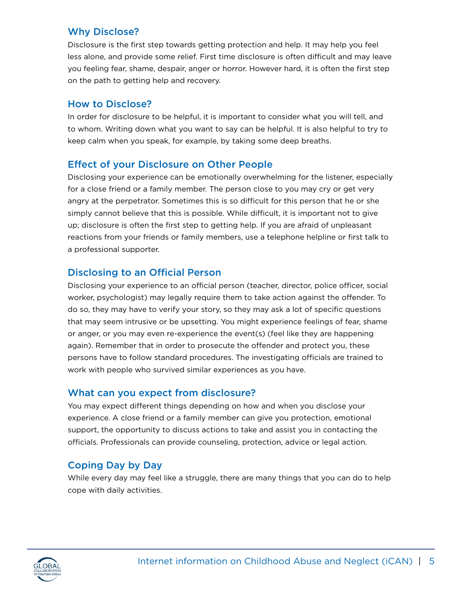# Why Disclose?

Disclosure is the first step towards getting protection and help. It may help you feel less alone, and provide some relief. First time disclosure is often difficult and may leave you feeling fear, shame, despair, anger or horror. However hard, it is often the first step on the path to getting help and recovery.

#### How to Disclose?

In order for disclosure to be helpful, it is important to consider what you will tell, and to whom. Writing down what you want to say can be helpful. It is also helpful to try to keep calm when you speak, for example, by taking some deep breaths.

# Effect of your Disclosure on Other People

Disclosing your experience can be emotionally overwhelming for the listener, especially for a close friend or a family member. The person close to you may cry or get very angry at the perpetrator. Sometimes this is so difficult for this person that he or she simply cannot believe that this is possible. While difficult, it is important not to give up; disclosure is often the first step to getting help. If you are afraid of unpleasant reactions from your friends or family members, use a telephone helpline or first talk to a professional supporter.

# Disclosing to an Official Person

Disclosing your experience to an official person (teacher, director, police officer, social worker, psychologist) may legally require them to take action against the offender. To do so, they may have to verify your story, so they may ask a lot of specific questions that may seem intrusive or be upsetting. You might experience feelings of fear, shame or anger, or you may even re-experience the event(s) (feel like they are happening again). Remember that in order to prosecute the offender and protect you, these persons have to follow standard procedures. The investigating officials are trained to work with people who survived similar experiences as you have.

# What can you expect from disclosure?

You may expect different things depending on how and when you disclose your experience. A close friend or a family member can give you protection, emotional support, the opportunity to discuss actions to take and assist you in contacting the officials. Professionals can provide counseling, protection, advice or legal action.

# Coping Day by Day

While every day may feel like a struggle, there are many things that you can do to help cope with daily activities.

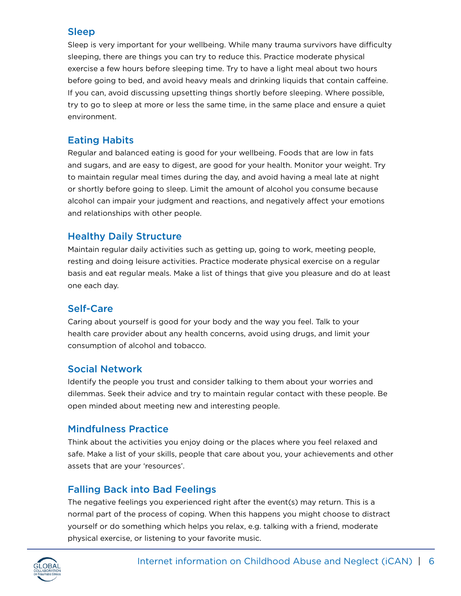#### Sleep

Sleep is very important for your wellbeing. While many trauma survivors have difficulty sleeping, there are things you can try to reduce this. Practice moderate physical exercise a few hours before sleeping time. Try to have a light meal about two hours before going to bed, and avoid heavy meals and drinking liquids that contain caffeine. If you can, avoid discussing upsetting things shortly before sleeping. Where possible, try to go to sleep at more or less the same time, in the same place and ensure a quiet environment.

# Eating Habits

Regular and balanced eating is good for your wellbeing. Foods that are low in fats and sugars, and are easy to digest, are good for your health. Monitor your weight. Try to maintain regular meal times during the day, and avoid having a meal late at night or shortly before going to sleep. Limit the amount of alcohol you consume because alcohol can impair your judgment and reactions, and negatively affect your emotions and relationships with other people.

# Healthy Daily Structure

Maintain regular daily activities such as getting up, going to work, meeting people, resting and doing leisure activities. Practice moderate physical exercise on a regular basis and eat regular meals. Make a list of things that give you pleasure and do at least one each day.

# Self-Care

Caring about yourself is good for your body and the way you feel. Talk to your health care provider about any health concerns, avoid using drugs, and limit your consumption of alcohol and tobacco.

# Social Network

Identify the people you trust and consider talking to them about your worries and dilemmas. Seek their advice and try to maintain regular contact with these people. Be open minded about meeting new and interesting people.

# Mindfulness Practice

Think about the activities you enjoy doing or the places where you feel relaxed and safe. Make a list of your skills, people that care about you, your achievements and other assets that are your 'resources'.

# Falling Back into Bad Feelings

The negative feelings you experienced right after the event(s) may return. This is a normal part of the process of coping. When this happens you might choose to distract yourself or do something which helps you relax, e.g. talking with a friend, moderate physical exercise, or listening to your favorite music.

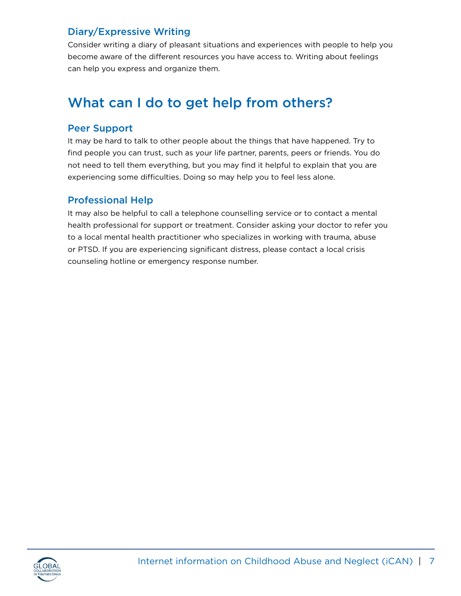# Diary/Expressive Writing

Consider writing a diary of pleasant situations and experiences with people to help you become aware of the different resources you have access to. Writing about feelings can help you express and organize them.

# What can I do to get help from others?

#### Peer Support

It may be hard to talk to other people about the things that have happened. Try to find people you can trust, such as your life partner, parents, peers or friends. You do not need to tell them everything, but you may find it helpful to explain that you are experiencing some difficulties. Doing so may help you to feel less alone.

#### Professional Help

It may also be helpful to call a telephone counselling service or to contact a mental health professional for support or treatment. Consider asking your doctor to refer you to a local mental health practitioner who specializes in working with trauma, abuse or PTSD. If you are experiencing significant distress, please contact a local crisis counseling hotline or emergency response number.